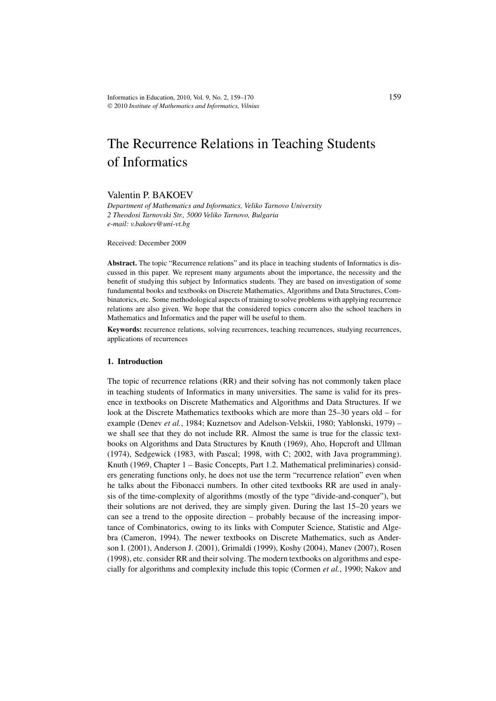# The Recurrence Relations in Teaching Students of Informatics

# Valentin P. BAKOEV

*Department of Mathematics and Informatics, Veliko Tarnovo University 2 Theodosi Tarnovski Str., 5000 Veliko Tarnovo, Bulgaria e-mail: v.bakoev@uni-vt.bg*

Received: December 2009

**Abstract.** The topic "Recurrence relations" and its place in teaching students of Informatics is discussed in this paper. We represent many arguments about the importance, the necessity and the benefit of studying this subject by Informatics students. They are based on investigation of some fundamental books and textbooks on Discrete Mathematics, Algorithms and Data Structures, Combinatorics, etc. Some methodological aspects of training to solve problems with applying recurrence relations are also given. We hope that the considered topics concern also the school teachers in Mathematics and Informatics and the paper will be useful to them.

**Keywords:** recurrence relations, solving recurrences, teaching recurrences, studying recurrences, applications of recurrences

#### **1. Introduction**

The topic of recurrence relations (RR) and their solving has not commonly taken place in teaching students of Informatics in many universities. The same is valid for its presence in textbooks on Discrete Mathematics and Algorithms and Data Structures. If we look at the Discrete Mathematics textbooks which are more than 25–30 years old – for example (Denev *et al.*, 1984; Kuznetsov and Adelson-Velskii, 1980; Yablonski, 1979) – we shall see that they do not include RR. Almost the same is true for the classic textbooks on Algorithms and Data Structures by Knuth (1969), Aho, Hopcroft and Ullman (1974), Sedgewick (1983, with Pascal; 1998, with C; 2002, with Java programming). Knuth (1969, Chapter 1 – Basic Concepts, Part 1.2. Mathematical preliminaries) considers generating functions only, he does not use the term "recurrence relation" even when he talks about the Fibonacci numbers. In other cited textbooks RR are used in analysis of the time-complexity of algorithms (mostly of the type "divide-and-conquer"), but their solutions are not derived, they are simply given. During the last 15–20 years we can see a trend to the opposite direction – probably because of the increasing importance of Combinatorics, owing to its links with Computer Science, Statistic and Algebra (Cameron, 1994). The newer textbooks on Discrete Mathematics, such as Anderson I. (2001), Anderson J. (2001), Grimaldi (1999), Koshy (2004), Manev (2007), Rosen (1998), etc. consider RR and their solving. The modern textbooks on algorithms and especially for algorithms and complexity include this topic (Cormen *et al.*, 1990; Nakov and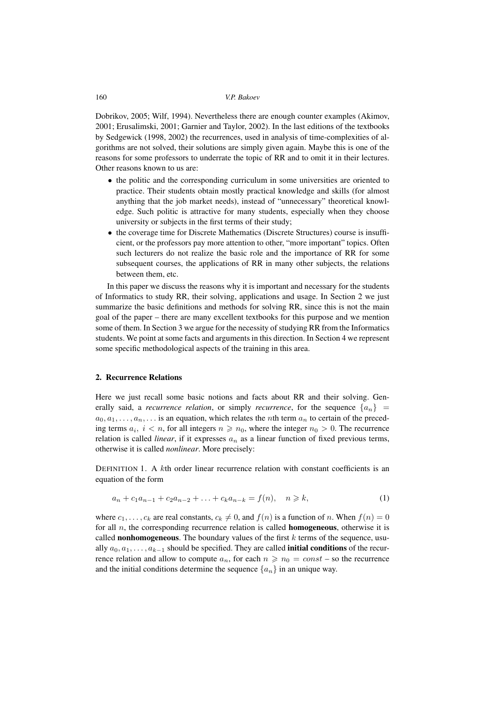Dobrikov, 2005; Wilf, 1994). Nevertheless there are enough counter examples (Akimov, 2001; Erusalimski, 2001; Garnier and Taylor, 2002). In the last editions of the textbooks by Sedgewick (1998, 2002) the recurrences, used in analysis of time-complexities of algorithms are not solved, their solutions are simply given again. Maybe this is one of the reasons for some professors to underrate the topic of RR and to omit it in their lectures. Other reasons known to us are:

- the politic and the corresponding curriculum in some universities are oriented to practice. Their students obtain mostly practical knowledge and skills (for almost anything that the job market needs), instead of "unnecessary" theoretical knowledge. Such politic is attractive for many students, especially when they choose university or subjects in the first terms of their study;
- the coverage time for Discrete Mathematics (Discrete Structures) course is insufficient, or the professors pay more attention to other, "more important" topics. Often such lecturers do not realize the basic role and the importance of RR for some subsequent courses, the applications of RR in many other subjects, the relations between them, etc.

In this paper we discuss the reasons why it is important and necessary for the students of Informatics to study RR, their solving, applications and usage. In Section 2 we just summarize the basic definitions and methods for solving RR, since this is not the main goal of the paper – there are many excellent textbooks for this purpose and we mention some of them. In Section 3 we argue for the necessity of studying RR from the Informatics students. We point at some facts and arguments in this direction. In Section 4 we represent some specific methodological aspects of the training in this area.

# **2. Recurrence Relations**

Here we just recall some basic notions and facts about RR and their solving. Generally said, a *recurrence relation*, or simply *recurrence*, for the sequence  $\{a_n\}$  $a_0, a_1, \ldots, a_n, \ldots$  is an equation, which relates the *n*th term  $a_n$  to certain of the preceding terms  $a_i$ ,  $i < n$ , for all integers  $n \ge n_0$ , where the integer  $n_0 > 0$ . The recurrence relation is called *linear*, if it expresses  $a_n$  as a linear function of fixed previous terms, otherwise it is called *nonlinear*. More precisely:

DEFINITION 1. A  $k$ th order linear recurrence relation with constant coefficients is an equation of the form

$$
a_n + c_1 a_{n-1} + c_2 a_{n-2} + \ldots + c_k a_{n-k} = f(n), \quad n \geq k,
$$
 (1)

where  $c_1, \ldots, c_k$  are real constants,  $c_k \neq 0$ , and  $f(n)$  is a function of n. When  $f(n)=0$ for all n, the corresponding recurrence relation is called **homogeneous**, otherwise it is called **nonhomogeneous**. The boundary values of the first  $k$  terms of the sequence, usually  $a_0, a_1, \ldots, a_{k-1}$  should be specified. They are called **initial conditions** of the recurrence relation and allow to compute  $a_n$ , for each  $n \geq n_0 = const$  - so the recurrence and the initial conditions determine the sequence  $\{a_n\}$  in an unique way.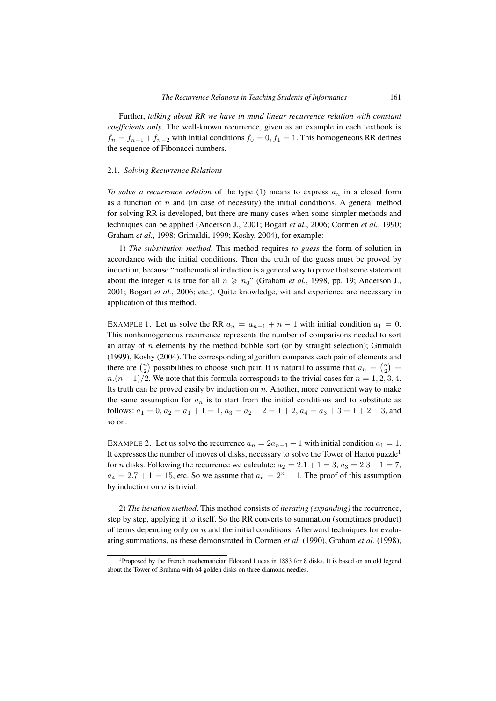Further, *talking about RR we have in mind linear recurrence relation with constant coefficients only*. The well-known recurrence, given as an example in each textbook is  $f_n = f_{n-1} + f_{n-2}$  with initial conditions  $f_0 = 0, f_1 = 1$ . This homogeneous RR defines the sequence of Fibonacci numbers.

### 2.1. *Solving Recurrence Relations*

*To solve a recurrence relation* of the type  $(1)$  means to express  $a_n$  in a closed form as a function of  $n$  and (in case of necessity) the initial conditions. A general method for solving RR is developed, but there are many cases when some simpler methods and techniques can be applied (Anderson J., 2001; Bogart *et al.*, 2006; Cormen *et al.*, 1990; Graham *et al.*, 1998; Grimaldi, 1999; Koshy, 2004), for example:

1) *The substitution method*. This method requires *to guess* the form of solution in accordance with the initial conditions. Then the truth of the guess must be proved by induction, because "mathematical induction is a general way to prove that some statement about the integer *n* is true for all  $n \geq n_0$ " (Graham *et al.*, 1998, pp. 19; Anderson J., 2001; Bogart *et al.*, 2006; etc.). Quite knowledge, wit and experience are necessary in application of this method.

EXAMPLE 1. Let us solve the RR  $a_n = a_{n-1} + n - 1$  with initial condition  $a_1 = 0$ . This nonhomogeneous recurrence represents the number of comparisons needed to sort an array of  $n$  elements by the method bubble sort (or by straight selection); Grimaldi (1999), Koshy (2004). The corresponding algorithm compares each pair of elements and there are  $\binom{n}{2}$  possibilities to choose such pair. It is natural to assume that  $a_n = \binom{n}{2}$  $n.(n-1)/2$ . We note that this formula corresponds to the trivial cases for  $n = 1, 2, 3, 4$ . Its truth can be proved easily by induction on  $n$ . Another, more convenient way to make the same assumption for  $a_n$  is to start from the initial conditions and to substitute as follows:  $a_1 = 0$ ,  $a_2 = a_1 + 1 = 1$ ,  $a_3 = a_2 + 2 = 1 + 2$ ,  $a_4 = a_3 + 3 = 1 + 2 + 3$ , and so on.

EXAMPLE 2. Let us solve the recurrence  $a_n = 2a_{n-1} + 1$  with initial condition  $a_1 = 1$ . It expresses the number of moves of disks, necessary to solve the Tower of Hanoi puzzle<sup>1</sup> for *n* disks. Following the recurrence we calculate:  $a_2 = 2.1 + 1 = 3$ ,  $a_3 = 2.3 + 1 = 7$ ,  $a_4 = 2.7 + 1 = 15$ , etc. So we assume that  $a_n = 2^n - 1$ . The proof of this assumption by induction on  $n$  is trivial.

2) *The iteration method*. This method consists of *iterating (expanding)* the recurrence, step by step, applying it to itself. So the RR converts to summation (sometimes product) of terms depending only on  $n$  and the initial conditions. Afterward techniques for evaluating summations, as these demonstrated in Cormen *et al.* (1990), Graham *et al.* (1998),

<sup>1</sup>Proposed by the French mathematician Edouard Lucas in 1883 for 8 disks. It is based on an old legend about the Tower of Brahma with 64 golden disks on three diamond needles.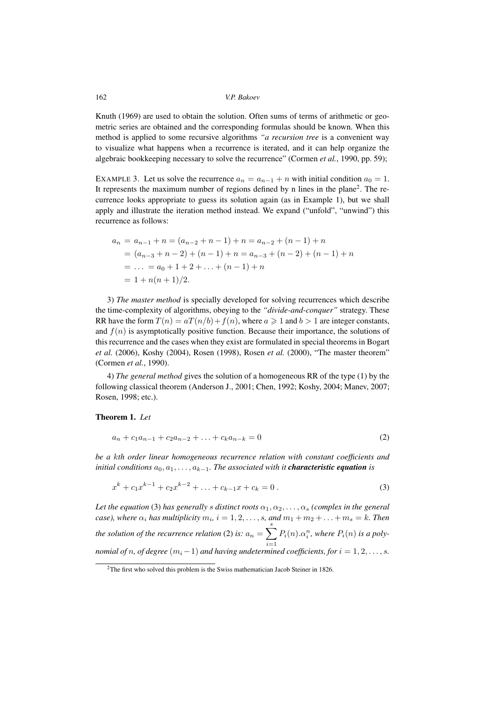Knuth (1969) are used to obtain the solution. Often sums of terms of arithmetic or geometric series are obtained and the corresponding formulas should be known. When this method is applied to some recursive algorithms *"a recursion tree* is a convenient way to visualize what happens when a recurrence is iterated, and it can help organize the algebraic bookkeeping necessary to solve the recurrence" (Cormen *et al.*, 1990, pp. 59);

EXAMPLE 3. Let us solve the recurrence  $a_n = a_{n-1} + n$  with initial condition  $a_0 = 1$ . It represents the maximum number of regions defined by n lines in the plane<sup>2</sup>. The recurrence looks appropriate to guess its solution again (as in Example 1), but we shall apply and illustrate the iteration method instead. We expand ("unfold", "unwind") this recurrence as follows:

$$
a_n = a_{n-1} + n = (a_{n-2} + n - 1) + n = a_{n-2} + (n - 1) + n
$$
  
=  $(a_{n-3} + n - 2) + (n - 1) + n = a_{n-3} + (n - 2) + (n - 1) + n$   
= ... =  $a_0 + 1 + 2 + ... + (n - 1) + n$   
=  $1 + n(n + 1)/2$ .

3) *The master method* is specially developed for solving recurrences which describe the time-complexity of algorithms, obeying to the *"divide-and-conquer"* strategy. These RR have the form  $T(n) = aT(n/b) + f(n)$ , where  $a \ge 1$  and  $b > 1$  are integer constants, and  $f(n)$  is asymptotically positive function. Because their importance, the solutions of this recurrence and the cases when they exist are formulated in special theorems in Bogart *et al.* (2006), Koshy (2004), Rosen (1998), Rosen *et al.* (2000), "The master theorem" (Cormen *et al.*, 1990).

4) *The general method* gives the solution of a homogeneous RR of the type (1) by the following classical theorem (Anderson J., 2001; Chen, 1992; Koshy, 2004; Manev, 2007; Rosen, 1998; etc.).

#### **Theorem 1.** *Let*

$$
a_n + c_1 a_{n-1} + c_2 a_{n-2} + \ldots + c_k a_{n-k} = 0 \tag{2}
$$

*be a* k*th order linear homogeneous recurrence relation with constant coefficients and initial conditions*  $a_0, a_1, \ldots, a_{k-1}$ *. The associated with it characteristic equation is* 

$$
x^{k} + c_{1}x^{k-1} + c_{2}x^{k-2} + \ldots + c_{k-1}x + c_{k} = 0.
$$
 (3)

Let the equation (3) has generally *s* distinct roots  $\alpha_1, \alpha_2, \ldots, \alpha_s$  *(complex in the general case*), where  $\alpha_i$  has multiplicity  $m_i$ ,  $i = 1, 2, \ldots, s$ , and  $m_1 + m_2 + \ldots + m_s = k$ . Then *the solution of the recurrence relation* (2) *is:*  $a_n = \sum$  $i=1$  $P_i(n).\alpha_i^n$ , where  $P_i(n)$  is a poly*nomial of n, of degree*  $(m_i - 1)$  *and having undetermined coefficients, for*  $i = 1, 2, ..., s$ *.* 

<sup>&</sup>lt;sup>2</sup>The first who solved this problem is the Swiss mathematician Jacob Steiner in 1826.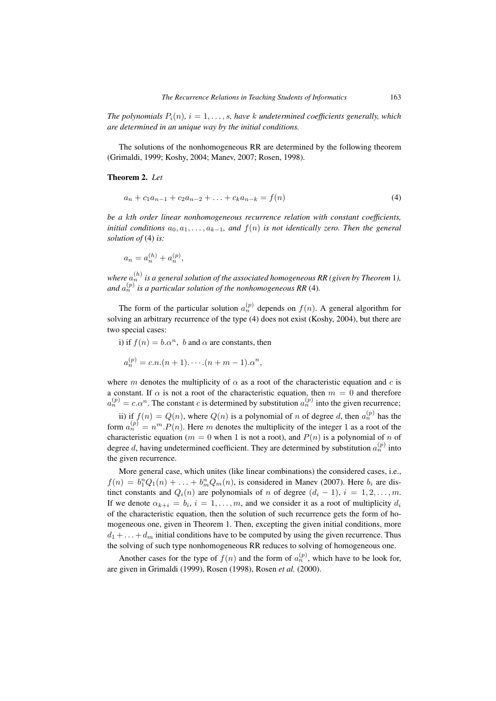*The polynomials*  $P_i(n)$ ,  $i = 1, \ldots, s$ , have k undetermined coefficients generally, which *are determined in an unique way by the initial conditions.*

The solutions of the nonhomogeneous RR are determined by the following theorem (Grimaldi, 1999; Koshy, 2004; Manev, 2007; Rosen, 1998).

# **Theorem 2.** *Let*

$$
a_n + c_1 a_{n-1} + c_2 a_{n-2} + \ldots + c_k a_{n-k} = f(n)
$$
\n<sup>(4)</sup>

*be a* k*th order linear nonhomogeneous recurrence relation with constant coefficients, initial conditions*  $a_0, a_1, \ldots, a_{k-1}$ *, and*  $f(n)$  *is not identically zero. Then the general solution of* (4) *is:*

$$
a_n = a_n^{(h)} + a_n^{(p)},
$$

*where*  $a_n^{(h)}$  is a general solution of the associated homogeneous RR (given by Theorem 1), *and*  $a_n^{(p)}$  is a particular solution of the nonhomogeneous RR (4).

The form of the particular solution  $a_n^{(p)}$  depends on  $f(n)$ . A general algorithm for solving an arbitrary recurrence of the type (4) does not exist (Koshy, 2004), but there are two special cases:

i) if  $f(n) = b \cdot \alpha^n$ , b and  $\alpha$  are constants, then

$$
a_n^{(p)} = c.n.(n + 1) \cdots (n + m - 1) . \alpha^n,
$$

where m denotes the multiplicity of  $\alpha$  as a root of the characteristic equation and c is a constant. If  $\alpha$  is not a root of the characteristic equation, then  $m = 0$  and therefore  $a_n^{(p)} = c \cdot \alpha^n$ . The constant c is determined by substitution  $a_n^{(p)}$  into the given recurrence;

ii) if  $f(n) = Q(n)$ , where  $Q(n)$  is a polynomial of n of degree d, then  $a_n^{(p)}$  has the form  $a_n^{(p)} = n^m P(n)$ . Here m denotes the multiplicity of the integer 1 as a root of the characteristic equation ( $m = 0$  when 1 is not a root), and  $P(n)$  is a polynomial of n of degree d, having undetermined coefficient. They are determined by substitution  $a_n^{(p)}$  into the given recurrence.

More general case, which unites (like linear combinations) the considered cases, i.e.,  $f(n) = b_1^n Q_1(n) + \ldots + b_m^n Q_m(n)$ , is considered in Manev (2007). Here  $b_i$  are distinct constants and  $Q_i(n)$  are polynomials of n of degree  $(d_i - 1), i = 1, 2, \ldots, m$ . If we denote  $\alpha_{k+i} = b_i$ ,  $i = 1, \ldots, m$ , and we consider it as a root of multiplicity  $d_i$ of the characteristic equation, then the solution of such recurrence gets the form of homogeneous one, given in Theorem 1. Then, excepting the given initial conditions, more  $d_1 + \ldots + d_m$  initial conditions have to be computed by using the given recurrence. Thus the solving of such type nonhomogeneous RR reduces to solving of homogeneous one.

Another cases for the type of  $f(n)$  and the form of  $a_n^{(p)}$ , which have to be look for, are given in Grimaldi (1999), Rosen (1998), Rosen *et al.* (2000).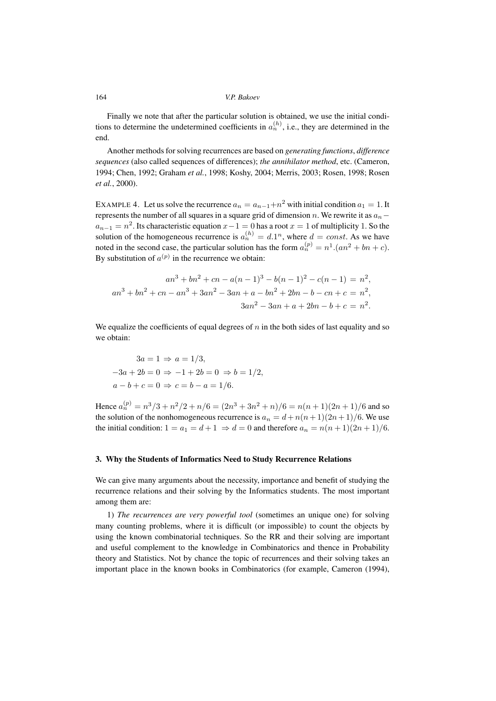Finally we note that after the particular solution is obtained, we use the initial conditions to determine the undetermined coefficients in  $a_n^{(h)}$ , i.e., they are determined in the end.

Another methods for solving recurrences are based on *generating functions*, *difference sequences* (also called sequences of differences); *the annihilator method*, etc. (Cameron, 1994; Chen, 1992; Graham *et al.*, 1998; Koshy, 2004; Merris, 2003; Rosen, 1998; Rosen *et al.*, 2000).

EXAMPLE 4. Let us solve the recurrence  $a_n = a_{n-1} + n^2$  with initial condition  $a_1 = 1$ . It represents the number of all squares in a square grid of dimension n. We rewrite it as  $a_n$  $a_{n-1} = n^2$ . Its characteristic equation  $x-1=0$  has a root  $x = 1$  of multiplicity 1. So the solution of the homogeneous recurrence is  $a_n^{(h)} = d \cdot 1^n$ , where  $d = const$ . As we have noted in the second case, the particular solution has the form  $a_n^{(p)} = n^1.(an^2 + bn + c)$ . By substitution of  $a^{(p)}$  in the recurrence we obtain:

$$
an^3 + bn^2 + cn - a(n-1)^3 - b(n-1)^2 - c(n-1) = n^2,
$$
  

$$
an^3 + bn^2 + cn - an^3 + 3an^2 - 3an + a - bn^2 + 2bn - b - cn + c = n^2,
$$
  

$$
3an^2 - 3an + a + 2bn - b + c = n^2.
$$

We equalize the coefficients of equal degrees of  $n$  in the both sides of last equality and so we obtain:

$$
3a = 1 \Rightarrow a = 1/3,
$$
  

$$
-3a + 2b = 0 \Rightarrow -1 + 2b = 0 \Rightarrow b = 1/2,
$$
  

$$
a - b + c = 0 \Rightarrow c = b - a = 1/6.
$$

Hence  $a_n^{(p)} = n^3/3 + n^2/2 + n/6 = (2n^3 + 3n^2 + n)/6 = n(n+1)(2n+1)/6$  and so the solution of the nonhomogeneous recurrence is  $a_n = d + n(n + 1)(2n + 1)/6$ . We use the initial condition:  $1 = a_1 = d + 1 \Rightarrow d = 0$  and therefore  $a_n = n(n + 1)(2n + 1)/6$ .

# **3. Why the Students of Informatics Need to Study Recurrence Relations**

We can give many arguments about the necessity, importance and benefit of studying the recurrence relations and their solving by the Informatics students. The most important among them are:

1) *The recurrences are very powerful tool* (sometimes an unique one) for solving many counting problems, where it is difficult (or impossible) to count the objects by using the known combinatorial techniques. So the RR and their solving are important and useful complement to the knowledge in Combinatorics and thence in Probability theory and Statistics. Not by chance the topic of recurrences and their solving takes an important place in the known books in Combinatorics (for example, Cameron (1994),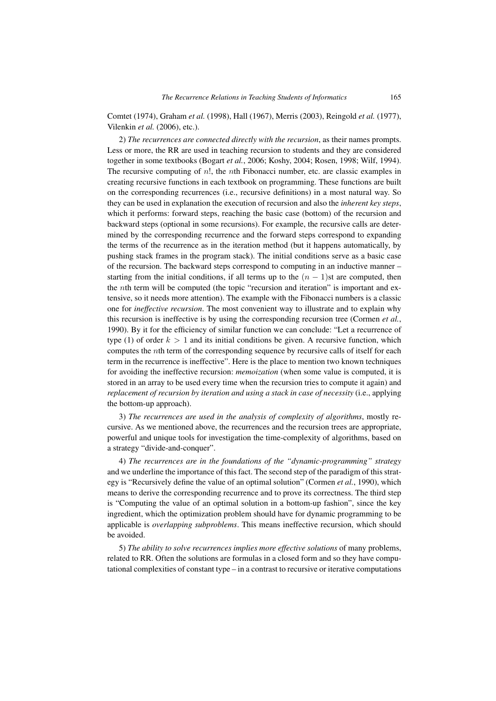Comtet (1974), Graham *et al.* (1998), Hall (1967), Merris (2003), Reingold *et al.* (1977), Vilenkin *et al.* (2006), etc.).

2) *The recurrences are connected directly with the recursion*, as their names prompts. Less or more, the RR are used in teaching recursion to students and they are considered together in some textbooks (Bogart *et al.*, 2006; Koshy, 2004; Rosen, 1998; Wilf, 1994). The recursive computing of  $n!$ , the *n*th Fibonacci number, etc. are classic examples in creating recursive functions in each textbook on programming. These functions are built on the corresponding recurrences (i.e., recursive definitions) in a most natural way. So they can be used in explanation the execution of recursion and also the *inherent key steps*, which it performs: forward steps, reaching the basic case (bottom) of the recursion and backward steps (optional in some recursions). For example, the recursive calls are determined by the corresponding recurrence and the forward steps correspond to expanding the terms of the recurrence as in the iteration method (but it happens automatically, by pushing stack frames in the program stack). The initial conditions serve as a basic case of the recursion. The backward steps correspond to computing in an inductive manner – starting from the initial conditions, if all terms up to the  $(n - 1)$ st are computed, then the nth term will be computed (the topic "recursion and iteration" is important and extensive, so it needs more attention). The example with the Fibonacci numbers is a classic one for *ineffective recursion*. The most convenient way to illustrate and to explain why this recursion is ineffective is by using the corresponding recursion tree (Cormen *et al.*, 1990). By it for the efficiency of similar function we can conclude: "Let a recurrence of type (1) of order  $k > 1$  and its initial conditions be given. A recursive function, which computes the nth term of the corresponding sequence by recursive calls of itself for each term in the recurrence is ineffective". Here is the place to mention two known techniques for avoiding the ineffective recursion: *memoization* (when some value is computed, it is stored in an array to be used every time when the recursion tries to compute it again) and *replacement of recursion by iteration and using a stack in case of necessity* (i.e., applying the bottom-up approach).

3) *The recurrences are used in the analysis of complexity of algorithms*, mostly recursive. As we mentioned above, the recurrences and the recursion trees are appropriate, powerful and unique tools for investigation the time-complexity of algorithms, based on a strategy "divide-and-conquer".

4) *The recurrences are in the foundations of the "dynamic-programming" strategy* and we underline the importance of this fact. The second step of the paradigm of this strategy is "Recursively define the value of an optimal solution" (Cormen *et al.*, 1990), which means to derive the corresponding recurrence and to prove its correctness. The third step is "Computing the value of an optimal solution in a bottom-up fashion", since the key ingredient, which the optimization problem should have for dynamic programming to be applicable is *overlapping subproblems*. This means ineffective recursion, which should be avoided.

5) *The ability to solve recurrences implies more effective solutions* of many problems, related to RR. Often the solutions are formulas in a closed form and so they have computational complexities of constant type – in a contrast to recursive or iterative computations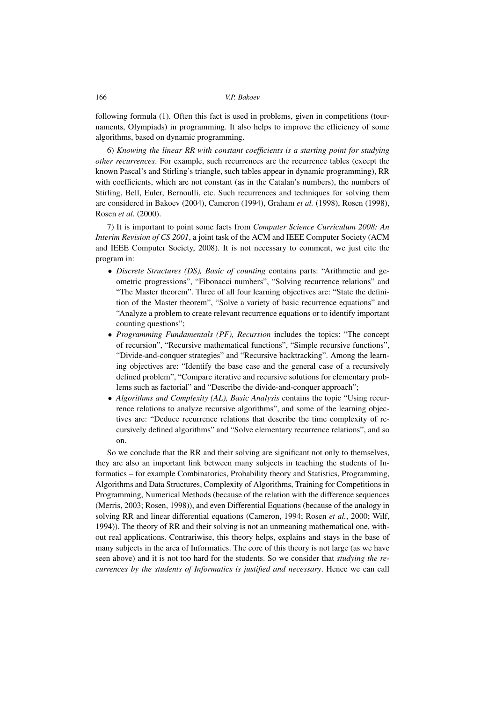following formula (1). Often this fact is used in problems, given in competitions (tournaments, Olympiads) in programming. It also helps to improve the efficiency of some algorithms, based on dynamic programming.

6) *Knowing the linear RR with constant coefficients is a starting point for studying other recurrences*. For example, such recurrences are the recurrence tables (except the known Pascal's and Stirling's triangle, such tables appear in dynamic programming), RR with coefficients, which are not constant (as in the Catalan's numbers), the numbers of Stirling, Bell, Euler, Bernoulli, etc. Such recurrences and techniques for solving them are considered in Bakoev (2004), Cameron (1994), Graham *et al.* (1998), Rosen (1998), Rosen *et al.* (2000).

7) It is important to point some facts from *Computer Science Curriculum 2008: An Interim Revision of CS 2001*, a joint task of the ACM and IEEE Computer Society (ACM and IEEE Computer Society, 2008). It is not necessary to comment, we just cite the program in:

- *Discrete Structures (DS), Basic of counting* contains parts: "Arithmetic and geometric progressions", "Fibonacci numbers", "Solving recurrence relations" and "The Master theorem". Three of all four learning objectives are: "State the definition of the Master theorem", "Solve a variety of basic recurrence equations" and "Analyze a problem to create relevant recurrence equations or to identify important counting questions";
- *Programming Fundamentals (PF), Recursion* includes the topics: "The concept of recursion", "Recursive mathematical functions", "Simple recursive functions", "Divide-and-conquer strategies" and "Recursive backtracking". Among the learning objectives are: "Identify the base case and the general case of a recursively defined problem", "Compare iterative and recursive solutions for elementary problems such as factorial" and "Describe the divide-and-conquer approach";
- *Algorithms and Complexity (AL), Basic Analysis* contains the topic "Using recurrence relations to analyze recursive algorithms", and some of the learning objectives are: "Deduce recurrence relations that describe the time complexity of recursively defined algorithms" and "Solve elementary recurrence relations", and so on.

So we conclude that the RR and their solving are significant not only to themselves, they are also an important link between many subjects in teaching the students of Informatics – for example Combinatorics, Probability theory and Statistics, Programming, Algorithms and Data Structures, Complexity of Algorithms, Training for Competitions in Programming, Numerical Methods (because of the relation with the difference sequences (Merris, 2003; Rosen, 1998)), and even Differential Equations (because of the analogy in solving RR and linear differential equations (Cameron, 1994; Rosen *et al.*, 2000; Wilf, 1994)). The theory of RR and their solving is not an unmeaning mathematical one, without real applications. Contrariwise, this theory helps, explains and stays in the base of many subjects in the area of Informatics. The core of this theory is not large (as we have seen above) and it is not too hard for the students. So we consider that *studying the recurrences by the students of Informatics is justified and necessary*. Hence we can call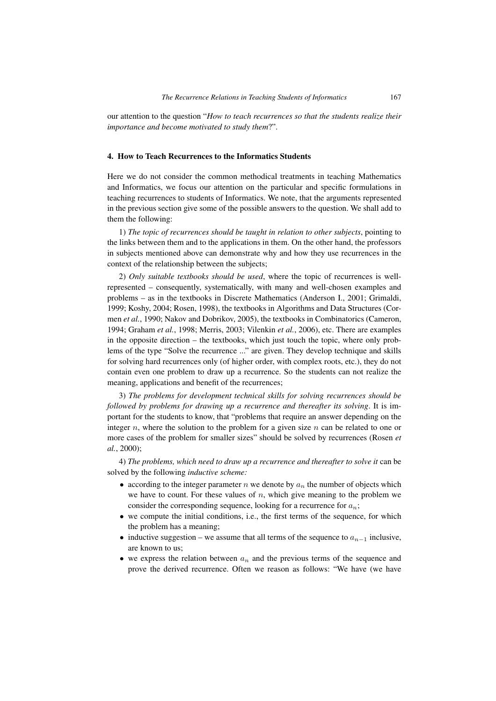our attention to the question "*How to teach recurrences so that the students realize their importance and become motivated to study them*?".

#### **4. How to Teach Recurrences to the Informatics Students**

Here we do not consider the common methodical treatments in teaching Mathematics and Informatics, we focus our attention on the particular and specific formulations in teaching recurrences to students of Informatics. We note, that the arguments represented in the previous section give some of the possible answers to the question. We shall add to them the following:

1) *The topic of recurrences should be taught in relation to other subjects*, pointing to the links between them and to the applications in them. On the other hand, the professors in subjects mentioned above can demonstrate why and how they use recurrences in the context of the relationship between the subjects;

2) *Only suitable textbooks should be used*, where the topic of recurrences is wellrepresented – consequently, systematically, with many and well-chosen examples and problems – as in the textbooks in Discrete Mathematics (Anderson I., 2001; Grimaldi, 1999; Koshy, 2004; Rosen, 1998), the textbooks in Algorithms and Data Structures (Cormen *et al.*, 1990; Nakov and Dobrikov, 2005), the textbooks in Combinatorics (Cameron, 1994; Graham *et al.*, 1998; Merris, 2003; Vilenkin *et al.*, 2006), etc. There are examples in the opposite direction – the textbooks, which just touch the topic, where only problems of the type "Solve the recurrence ..." are given. They develop technique and skills for solving hard recurrences only (of higher order, with complex roots, etc.), they do not contain even one problem to draw up a recurrence. So the students can not realize the meaning, applications and benefit of the recurrences;

3) *The problems for development technical skills for solving recurrences should be followed by problems for drawing up a recurrence and thereafter its solving*. It is important for the students to know, that "problems that require an answer depending on the integer n, where the solution to the problem for a given size n can be related to one or more cases of the problem for smaller sizes" should be solved by recurrences (Rosen *et al.*, 2000);

4) *The problems, which need to draw up a recurrence and thereafter to solve it* can be solved by the following *inductive scheme:*

- according to the integer parameter n we denote by  $a_n$  the number of objects which we have to count. For these values of  $n$ , which give meaning to the problem we consider the corresponding sequence, looking for a recurrence for  $a_n$ ;
- we compute the initial conditions, i.e., the first terms of the sequence, for which the problem has a meaning;
- inductive suggestion we assume that all terms of the sequence to  $a_{n-1}$  inclusive, are known to us;
- we express the relation between  $a_n$  and the previous terms of the sequence and prove the derived recurrence. Often we reason as follows: "We have (we have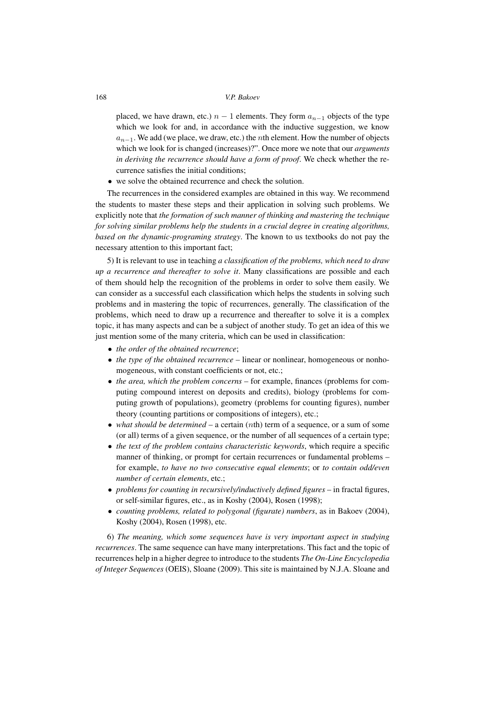placed, we have drawn, etc.)  $n - 1$  elements. They form  $a_{n-1}$  objects of the type which we look for and, in accordance with the inductive suggestion, we know  $a_{n-1}$ . We add (we place, we draw, etc.) the *n*th element. How the number of objects which we look for is changed (increases)?". Once more we note that our *arguments in deriving the recurrence should have a form of proof*. We check whether the recurrence satisfies the initial conditions;

• we solve the obtained recurrence and check the solution.

The recurrences in the considered examples are obtained in this way. We recommend the students to master these steps and their application in solving such problems. We explicitly note that *the formation of such manner of thinking and mastering the technique for solving similar problems help the students in a crucial degree in creating algorithms, based on the dynamic-programing strategy*. The known to us textbooks do not pay the necessary attention to this important fact;

5) It is relevant to use in teaching *a classification of the problems, which need to draw up a recurrence and thereafter to solve it*. Many classifications are possible and each of them should help the recognition of the problems in order to solve them easily. We can consider as a successful each classification which helps the students in solving such problems and in mastering the topic of recurrences, generally. The classification of the problems, which need to draw up a recurrence and thereafter to solve it is a complex topic, it has many aspects and can be a subject of another study. To get an idea of this we just mention some of the many criteria, which can be used in classification:

- *the order of the obtained recurrence*;
- *the type of the obtained recurrence* linear or nonlinear, homogeneous or nonhomogeneous, with constant coefficients or not, etc.;
- *the area, which the problem concerns* for example, finances (problems for computing compound interest on deposits and credits), biology (problems for computing growth of populations), geometry (problems for counting figures), number theory (counting partitions or compositions of integers), etc.;
- *what should be determined* a certain (*nth*) term of a sequence, or a sum of some (or all) terms of a given sequence, or the number of all sequences of a certain type;
- *the text of the problem contains characteristic keywords*, which require a specific manner of thinking, or prompt for certain recurrences or fundamental problems – for example, *to have no two consecutive equal elements*; or *to contain odd/even number of certain elements*, etc.;
- *problems for counting in recursively/inductively defined figures* in fractal figures, or self-similar figures, etc., as in Koshy (2004), Rosen (1998);
- *counting problems, related to polygonal (figurate) numbers*, as in Bakoev (2004), Koshy (2004), Rosen (1998), etc.

6) *The meaning, which some sequences have is very important aspect in studying recurrences*. The same sequence can have many interpretations. This fact and the topic of recurrences help in a higher degree to introduce to the students *The On-Line Encyclopedia of Integer Sequences* (OEIS), Sloane (2009). This site is maintained by N.J.A. Sloane and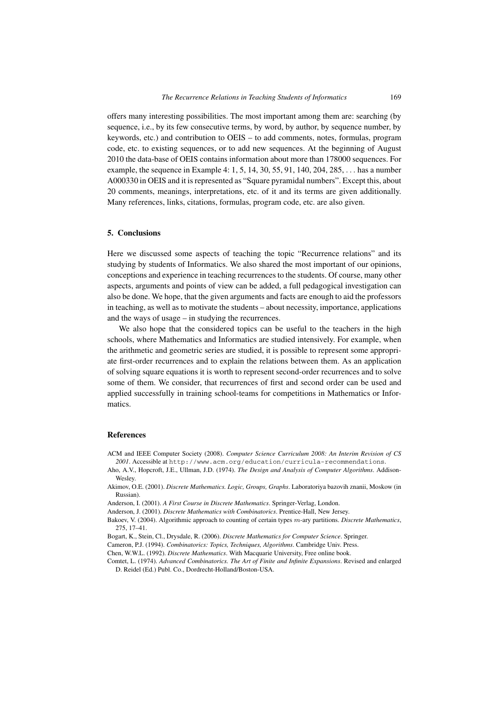offers many interesting possibilities. The most important among them are: searching (by sequence, i.e., by its few consecutive terms, by word, by author, by sequence number, by keywords, etc.) and contribution to OEIS – to add comments, notes, formulas, program code, etc. to existing sequences, or to add new sequences. At the beginning of August 2010 the data-base of OEIS contains information about more than 178000 sequences. For example, the sequence in Example 4: 1, 5, 14, 30, 55, 91, 140, 204, 285,  $\dots$  has a number A000330 in OEIS and it is represented as "Square pyramidal numbers". Except this, about 20 comments, meanings, interpretations, etc. of it and its terms are given additionally. Many references, links, citations, formulas, program code, etc. are also given.

# **5. Conclusions**

Here we discussed some aspects of teaching the topic "Recurrence relations" and its studying by students of Informatics. We also shared the most important of our opinions, conceptions and experience in teaching recurrences to the students. Of course, many other aspects, arguments and points of view can be added, a full pedagogical investigation can also be done. We hope, that the given arguments and facts are enough to aid the professors in teaching, as well as to motivate the students – about necessity, importance, applications and the ways of usage – in studying the recurrences.

We also hope that the considered topics can be useful to the teachers in the high schools, where Mathematics and Informatics are studied intensively. For example, when the arithmetic and geometric series are studied, it is possible to represent some appropriate first-order recurrences and to explain the relations between them. As an application of solving square equations it is worth to represent second-order recurrences and to solve some of them. We consider, that recurrences of first and second order can be used and applied successfully in training school-teams for competitions in Mathematics or Informatics.

# **References**

ACM and IEEE Computer Society (2008). *Computer Science Curriculum 2008: An Interim Revision of CS 2001*. Accessible at http://www.acm.org/education/curricula-recommendations.

Aho, A.V., Hopcroft, J.E., Ullman, J.D. (1974). *The Design and Analysis of Computer Algorithms*. Addison-Wesley.

Akimov, O.E. (2001). *Discrete Mathematics. Logic, Groups, Graphs*. Laboratoriya bazovih znanii, Moskow (in Russian).

Anderson, I. (2001). *A First Course in Discrete Mathematics*. Springer-Verlag, London.

Anderson, J. (2001). *Discrete Mathematics with Combinatorics*. Prentice-Hall, New Jersey.

Bakoev, V. (2004). Algorithmic approach to counting of certain types m-ary partitions. *Discrete Mathematics*, 275, 17–41.

Bogart, K., Stein, Cl., Drysdale, R. (2006). *Discrete Mathematics for Computer Science*. Springer.

Cameron, P.J. (1994). *Combinatorics: Topics, Techniques, Algorithms*. Cambridge Univ. Press.

Chen, W.W.L. (1992). *Discrete Mathematics*. With Macquarie University, Free online book.

Comtet, L. (1974). *Advanced Combinatorics. The Art of Finite and Infinite Expansions*. Revised and enlarged D. Reidel (Ed.) Publ. Co., Dordrecht-Holland/Boston-USA.